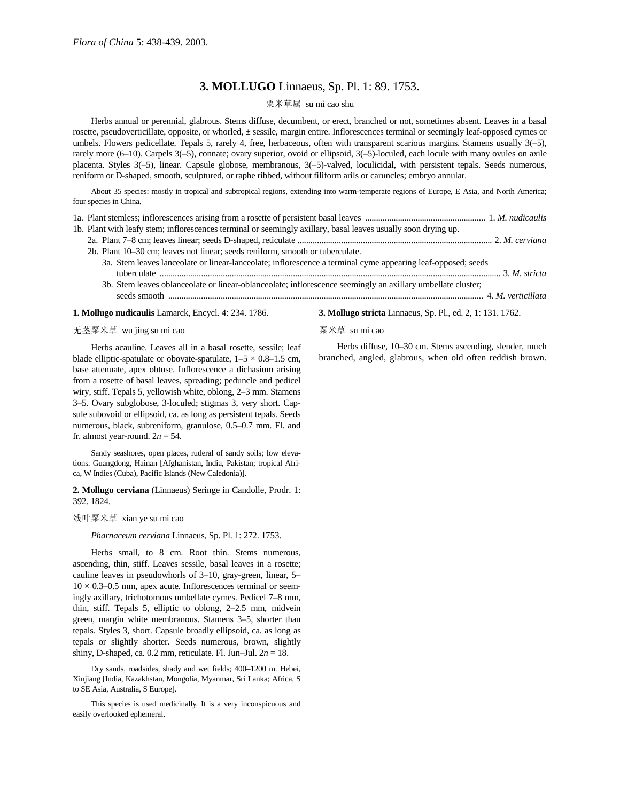# **3. MOLLUGO** Linnaeus, Sp. Pl. 1: 89. 1753.

# 粟米草属 su mi cao shu

Herbs annual or perennial, glabrous. Stems diffuse, decumbent, or erect, branched or not, sometimes absent. Leaves in a basal rosette, pseudoverticillate, opposite, or whorled, ± sessile, margin entire. Inflorescences terminal or seemingly leaf-opposed cymes or umbels. Flowers pedicellate. Tepals 5, rarely 4, free, herbaceous, often with transparent scarious margins. Stamens usually 3(–5), rarely more (6–10). Carpels 3(–5), connate; ovary superior, ovoid or ellipsoid, 3(–5)-loculed, each locule with many ovules on axile placenta. Styles 3(–5), linear. Capsule globose, membranous, 3(–5)-valved, loculicidal, with persistent tepals. Seeds numerous, reniform or D-shaped, smooth, sculptured, or raphe ribbed, without filiform arils or caruncles; embryo annular.

About 35 species: mostly in tropical and subtropical regions, extending into warm-temperate regions of Europe, E Asia, and North America; four species in China.

| 1b. Plant with leafy stem; inflorescences terminal or seemingly axillary, basal leaves usually soon drying up. |  |
|----------------------------------------------------------------------------------------------------------------|--|

- 2a. Plant 7–8 cm; leaves linear; seeds D-shaped, reticulate ......................................................................................... 2. *M. cerviana*
- 2b. Plant 10–30 cm; leaves not linear; seeds reniform, smooth or tuberculate. 3a. Stem leaves lanceolate or linear-lanceolate; inflorescence a terminal cyme appearing leaf-opposed; seeds tuberculate ............................................................................................................................................................ 3. *M. stricta*
	- 3b. Stem leaves oblanceolate or linear-oblanceolate; inflorescence seemingly an axillary umbellate cluster; seeds smooth ................................................................................................................................................ 4. *M. verticillata*

#### **1. Mollugo nudicaulis** Lamarck, Encycl. 4: 234. 1786.

### 无茎粟米草 wu jing su mi cao

Herbs acauline. Leaves all in a basal rosette, sessile; leaf blade elliptic-spatulate or obovate-spatulate,  $1-5 \times 0.8-1.5$  cm, base attenuate, apex obtuse. Inflorescence a dichasium arising from a rosette of basal leaves, spreading; peduncle and pedicel wiry, stiff. Tepals 5, yellowish white, oblong, 2–3 mm. Stamens 3–5. Ovary subglobose, 3-loculed; stigmas 3, very short. Capsule subovoid or ellipsoid, ca. as long as persistent tepals. Seeds numerous, black, subreniform, granulose, 0.5–0.7 mm. Fl. and fr. almost year-round.  $2n = 54$ .

Sandy seashores, open places, ruderal of sandy soils; low elevations. Guangdong, Hainan [Afghanistan, India, Pakistan; tropical Africa, W Indies (Cuba), Pacific Islands (New Caledonia)].

## **2. Mollugo cerviana** (Linnaeus) Seringe in Candolle, Prodr. 1: 392. 1824.

### 线叶粟米草 xian ye su mi cao

*Pharnaceum cerviana* Linnaeus, Sp. Pl. 1: 272. 1753.

Herbs small, to 8 cm. Root thin. Stems numerous, ascending, thin, stiff. Leaves sessile, basal leaves in a rosette; cauline leaves in pseudowhorls of 3–10, gray-green, linear, 5–  $10 \times 0.3$ –0.5 mm, apex acute. Inflorescences terminal or seemingly axillary, trichotomous umbellate cymes. Pedicel 7–8 mm, thin, stiff. Tepals 5, elliptic to oblong, 2–2.5 mm, midvein green, margin white membranous. Stamens 3–5, shorter than tepals. Styles 3, short. Capsule broadly ellipsoid, ca. as long as tepals or slightly shorter. Seeds numerous, brown, slightly shiny, D-shaped, ca.  $0.2$  mm, reticulate. Fl. Jun–Jul.  $2n = 18$ .

Dry sands, roadsides, shady and wet fields; 400–1200 m. Hebei, Xinjiang [India, Kazakhstan, Mongolia, Myanmar, Sri Lanka; Africa, S to SE Asia, Australia, S Europe].

This species is used medicinally. It is a very inconspicuous and easily overlooked ephemeral.

### **3. Mollugo stricta** Linnaeus, Sp. Pl., ed. 2, 1: 131. 1762.

#### 粟米草 su mi cao

Herbs diffuse, 10–30 cm. Stems ascending, slender, much branched, angled, glabrous, when old often reddish brown.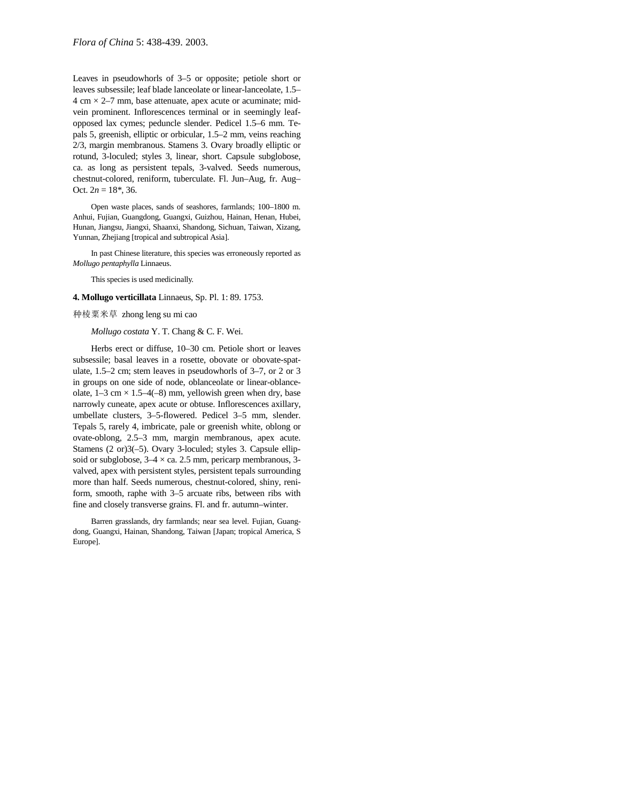Leaves in pseudowhorls of 3–5 or opposite; petiole short or leaves subsessile; leaf blade lanceolate or linear-lanceolate, 1.5–  $4 \text{ cm} \times 2 - 7 \text{ mm}$ , base attenuate, apex acute or acuminate; midvein prominent. Inflorescences terminal or in seemingly leafopposed lax cymes; peduncle slender. Pedicel 1.5–6 mm. Tepals 5, greenish, elliptic or orbicular, 1.5–2 mm, veins reaching 2/3, margin membranous. Stamens 3. Ovary broadly elliptic or rotund, 3-loculed; styles 3, linear, short. Capsule subglobose, ca. as long as persistent tepals, 3-valved. Seeds numerous, chestnut-colored, reniform, tuberculate. Fl. Jun–Aug, fr. Aug– Oct.  $2n = 18^*$ , 36.

Open waste places, sands of seashores, farmlands; 100–1800 m. Anhui, Fujian, Guangdong, Guangxi, Guizhou, Hainan, Henan, Hubei, Hunan, Jiangsu, Jiangxi, Shaanxi, Shandong, Sichuan, Taiwan, Xizang, Yunnan, Zhejiang [tropical and subtropical Asia].

In past Chinese literature, this species was erroneously reported as *Mollugo pentaphylla* Linnaeus.

This species is used medicinally.

#### **4. Mollugo verticillata** Linnaeus, Sp. Pl. 1: 89. 1753.

#### 种棱粟米草 zhong leng su mi cao

## *Mollugo costata* Y. T. Chang & C. F. Wei.

Herbs erect or diffuse, 10–30 cm. Petiole short or leaves subsessile; basal leaves in a rosette, obovate or obovate-spatulate, 1.5–2 cm; stem leaves in pseudowhorls of 3–7, or 2 or 3 in groups on one side of node, oblanceolate or linear-oblanceolate,  $1-3$  cm  $\times$   $1.5-4(-8)$  mm, yellowish green when dry, base narrowly cuneate, apex acute or obtuse. Inflorescences axillary, umbellate clusters, 3–5-flowered. Pedicel 3–5 mm, slender. Tepals 5, rarely 4, imbricate, pale or greenish white, oblong or ovate-oblong, 2.5–3 mm, margin membranous, apex acute. Stamens (2 or)3(–5). Ovary 3-loculed; styles 3. Capsule ellipsoid or subglobose,  $3-4 \times ca$ . 2.5 mm, pericarp membranous, 3valved, apex with persistent styles, persistent tepals surrounding more than half. Seeds numerous, chestnut-colored, shiny, reniform, smooth, raphe with 3–5 arcuate ribs, between ribs with fine and closely transverse grains. Fl. and fr. autumn–winter.

Barren grasslands, dry farmlands; near sea level. Fujian, Guangdong, Guangxi, Hainan, Shandong, Taiwan [Japan; tropical America, S Europe].